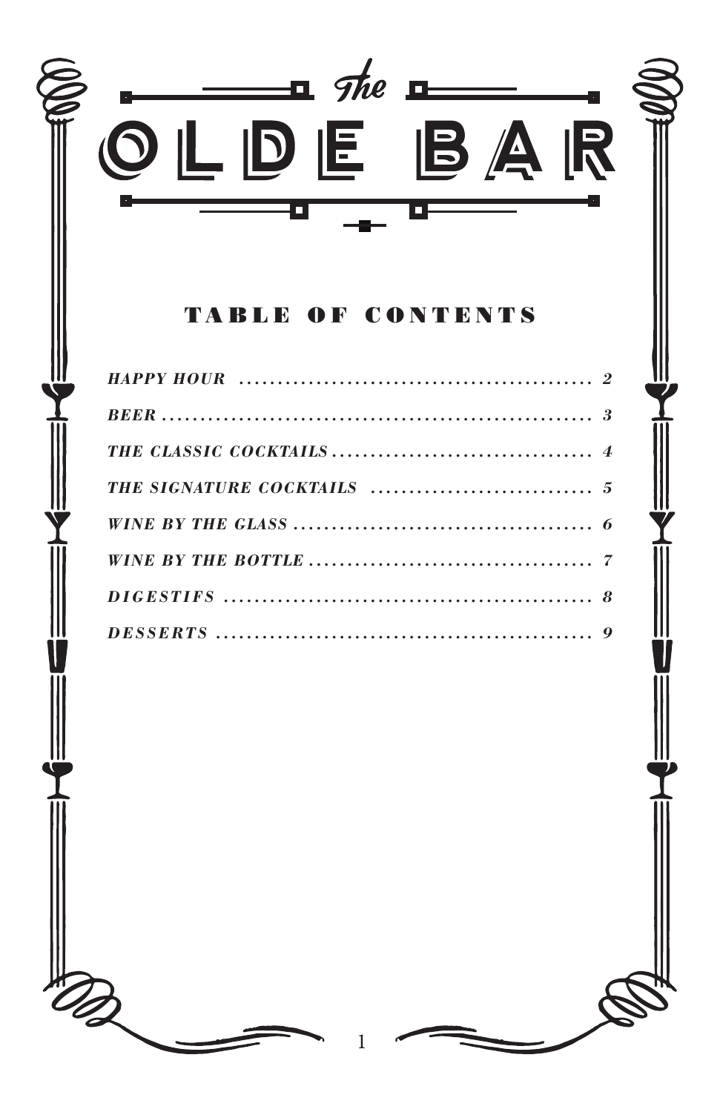

#### **BLE OF CONTENT** T A

to the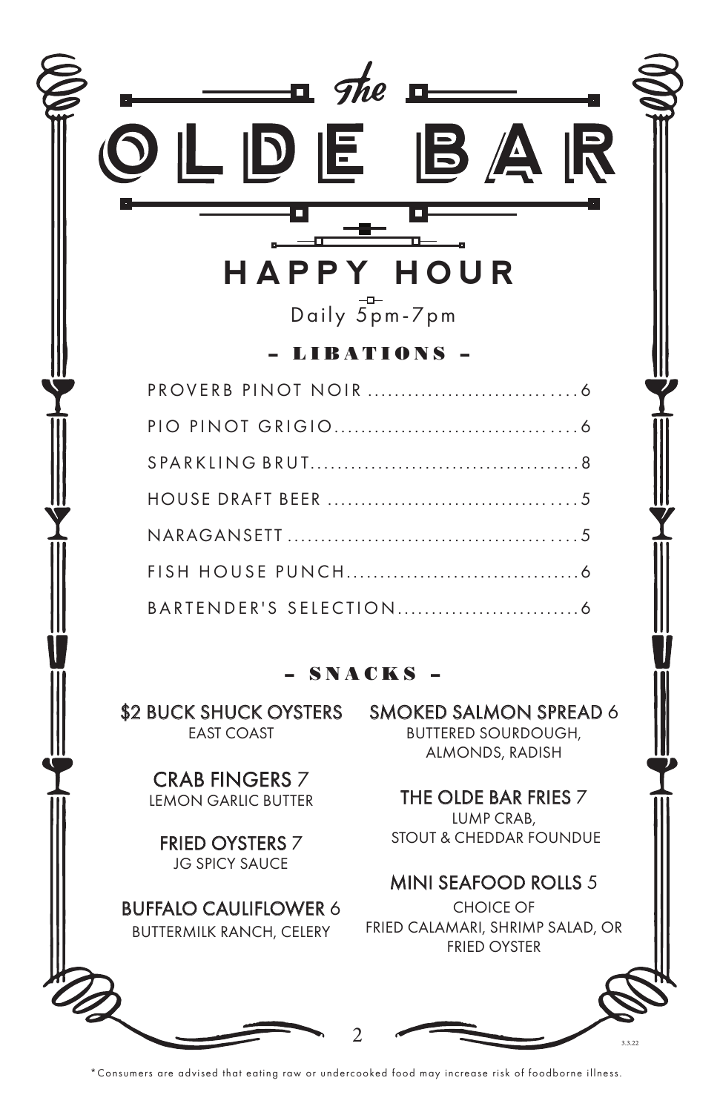

\*Consumers are advised that eating raw or undercooked food may increase risk of foodborne illness.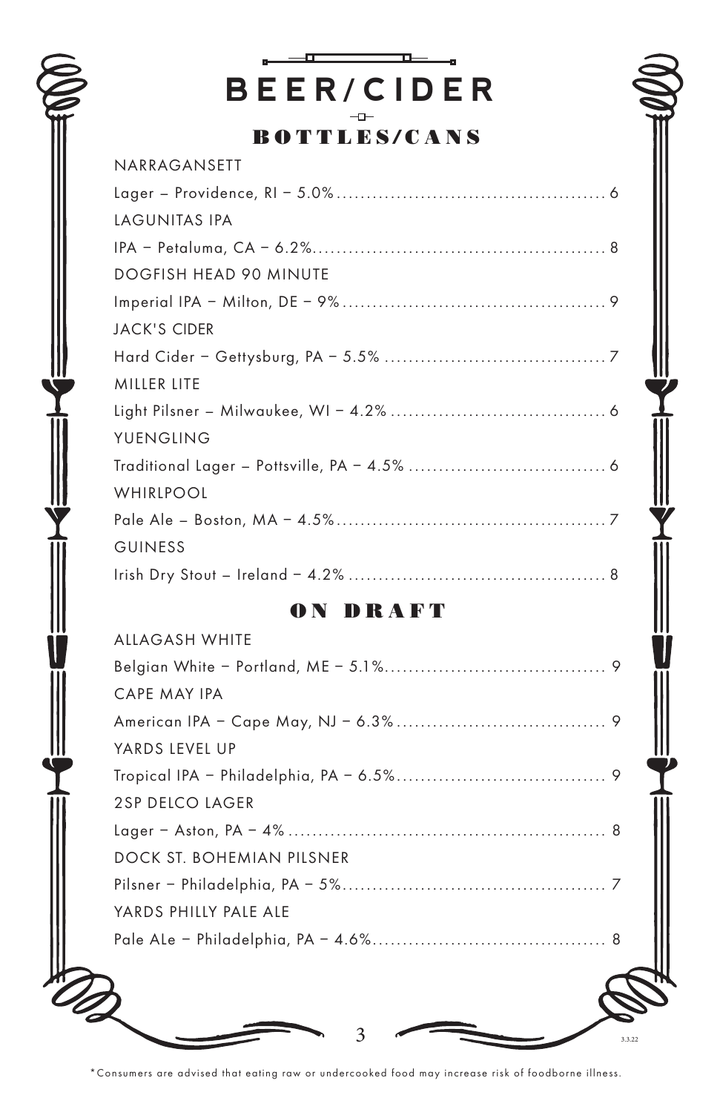

# ÷. ᇁ **BEER/CIDER**

BOTTLES/CANS

| NARRAGANSETT                  |
|-------------------------------|
|                               |
| LAGUNITAS IPA                 |
|                               |
| <b>DOGFISH HEAD 90 MINUTE</b> |
|                               |
| <b>JACK'S CIDER</b>           |
|                               |
| MILLER LITE                   |
|                               |
| YUENGLING                     |
|                               |
| WHIRLPOOL                     |
|                               |
| <b>GUINESS</b>                |
|                               |
|                               |

# ON DRAFT

Ÿ

| YARDS PHILLY PALE ALE     |  |
|---------------------------|--|
|                           |  |
| DOCK ST. BOHEMIAN PILSNER |  |
|                           |  |
| <b>2SP DELCO LAGER</b>    |  |
|                           |  |
| YARDS LEVEL UP            |  |
|                           |  |
| CAPE MAY IPA              |  |
|                           |  |
| <b>ALLAGASH WHITE</b>     |  |

\*Consumers are advised that eating raw or undercooked food may increase risk of foodborne illness.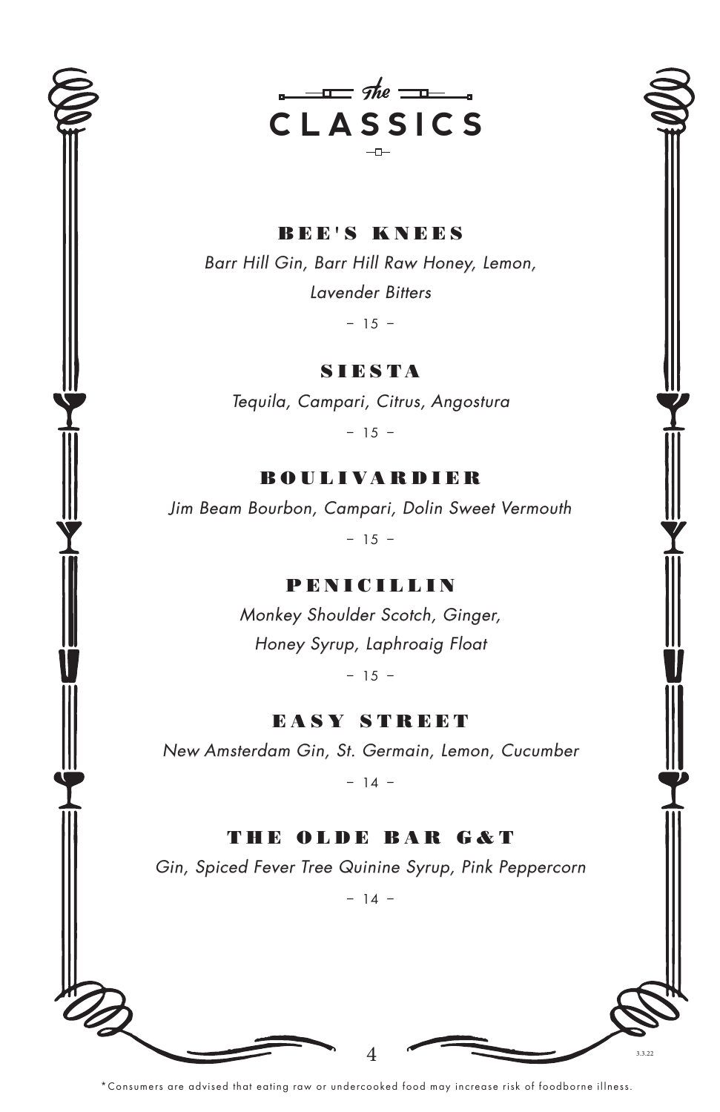



BEE'S KNEES Barr Hill Gin, Barr Hill Raw Honey, Lemon, Lavender Bitters

 $-15 -$ 

**SIESTA** 

Tequila, Campari, Citrus, Angostura

– 15 –

### BOULIVARDIER

Jim Beam Bourbon, Campari, Dolin Sweet Vermouth

– 15 –

# PENICILLIN

Monkey Shoulder Scotch, Ginger, Honey Syrup, Laphroaig Float

 $-15 -$ 

EASY STREET

New Amsterdam Gin, St. Germain, Lemon, Cucumber

– 14 –

THE OLDE BAR G&T Gin, Spiced Fever Tree Quinine Syrup, Pink Peppercorn

 $-14 -$ 

4 3.3.22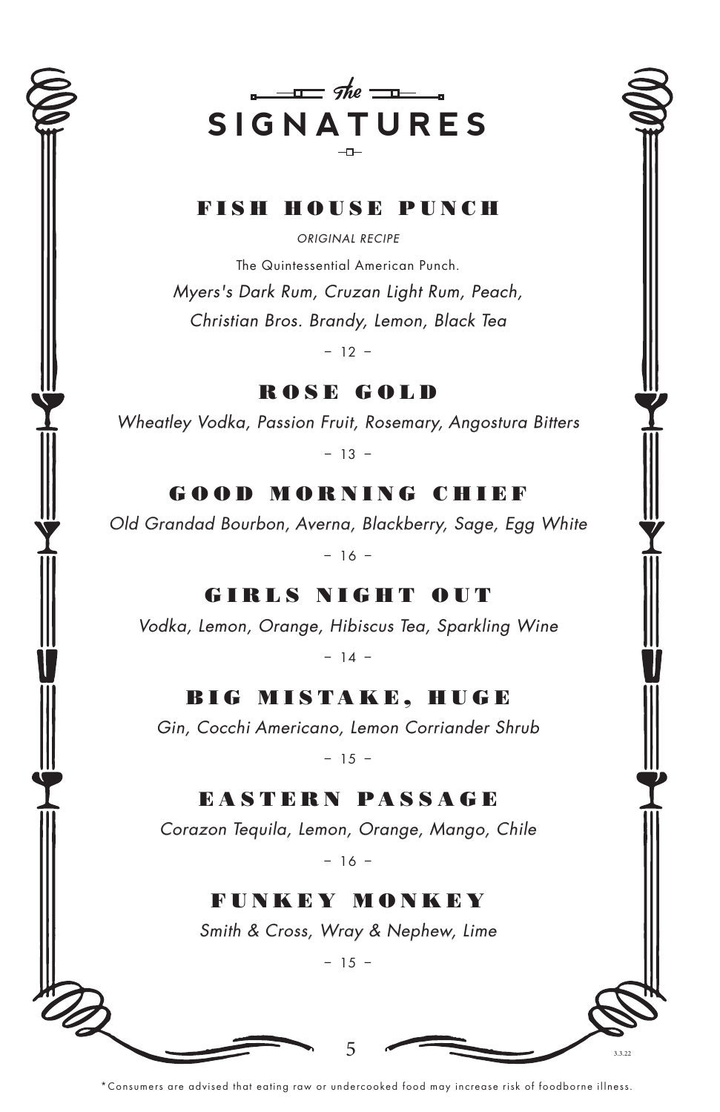



# FISH HOUSE PUNCH

ORIGINAL RECIPE

The Quintessential American Punch.

Myers's Dark Rum, Cruzan Light Rum, Peach, Christian Bros. Brandy, Lemon, Black Tea

– 12 –

ROSE GOLD

Wheatley Vodka, Passion Fruit, Rosemary, Angostura Bitters

– 13 –

GOOD MORNING CHIEF

Old Grandad Bourbon, Averna, Blackberry, Sage, Egg White

– 16 –

GIRLS NIGHT OUT

Vodka, Lemon, Orange, Hibiscus Tea, Sparkling Wine

– 14 –

BIG MISTAKE, HUGE

Gin, Cocchi Americano, Lemon Corriander Shrub

– 15 –

EASTERN PASSAGE

Corazon Tequila, Lemon, Orange, Mango, Chile

– 16 –

FUNKEY MONKEY Smith & Cross, Wray & Nephew, Lime

– 15 –

5

\*Consumers are advised that eating raw or undercooked food may increase risk of foodborne illness.

3.3.22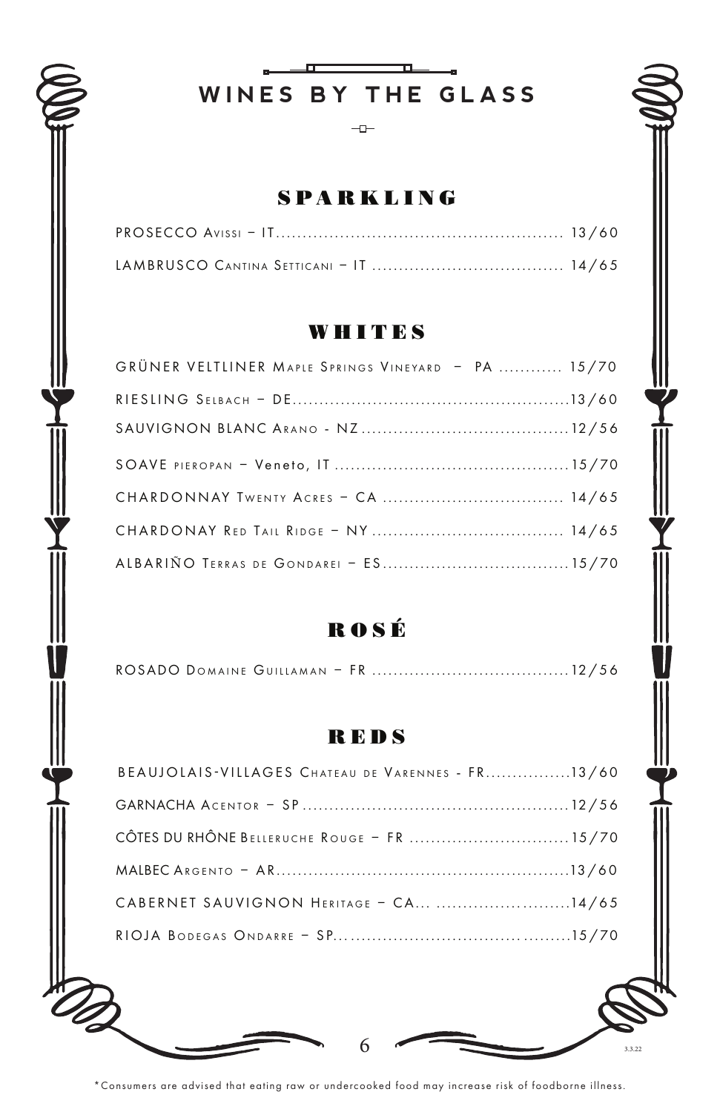

 $\mathbf{L}$ WINES BY THE GLASS

 $-\Box$ 

# **SPARKLING**

# **WHITES**

| GRÜNER VELTLINER MAPLE SPRINGS VINEYARD - PA  15/70 |  |
|-----------------------------------------------------|--|
|                                                     |  |
|                                                     |  |
|                                                     |  |
|                                                     |  |
|                                                     |  |
|                                                     |  |

# ROSÉ

# **REDS**

| CABERNET SAUVIGNON HERITAGE - CA 14/65            |  |
|---------------------------------------------------|--|
|                                                   |  |
| CÔTES DU RHÔNE BELLERUCHE ROUGE - FR  15/70       |  |
|                                                   |  |
| BEAUJOLAIS-VILLAGES CHATEAU DE VARENNES - FR13/60 |  |

\*Consumers are advised that eating raw or undercooked food may increase risk of foodborne illness.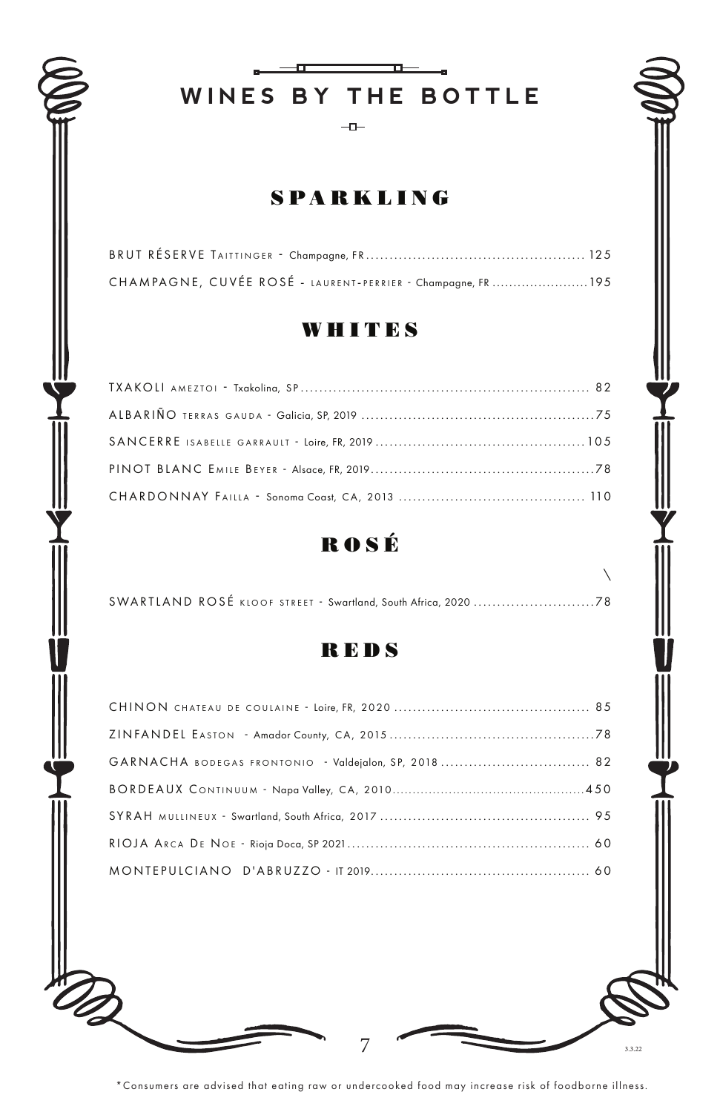# **WINES BY THE BOTTLE**

 $\mathbf{u}$ 

 $-$ <del>o</del>

# SPARKLING

| CHAMPAGNE, CUVÉE ROSÉ - LAURENT-PERRIER - Champagne, FR195 |  |
|------------------------------------------------------------|--|

# WHITES

# ROS É



D

 $7 \frac{ }{ }$   $\frac{ }{ }$   $\frac{ }{ }$   $\frac{ }{ }$   $\frac{ }{ }$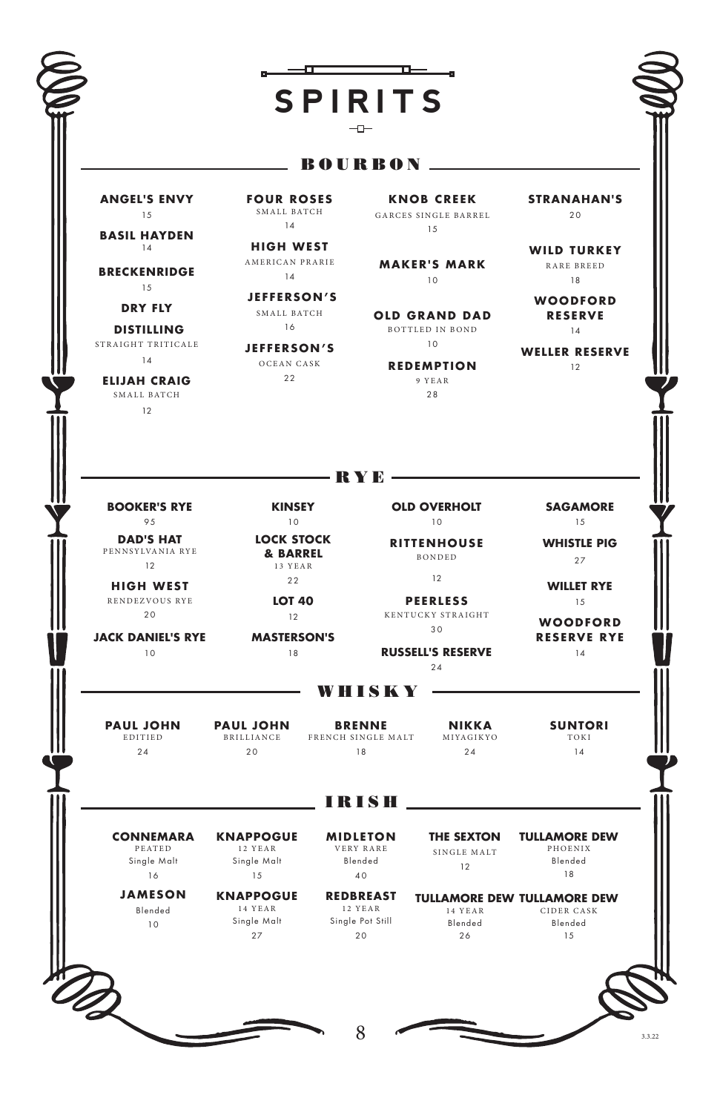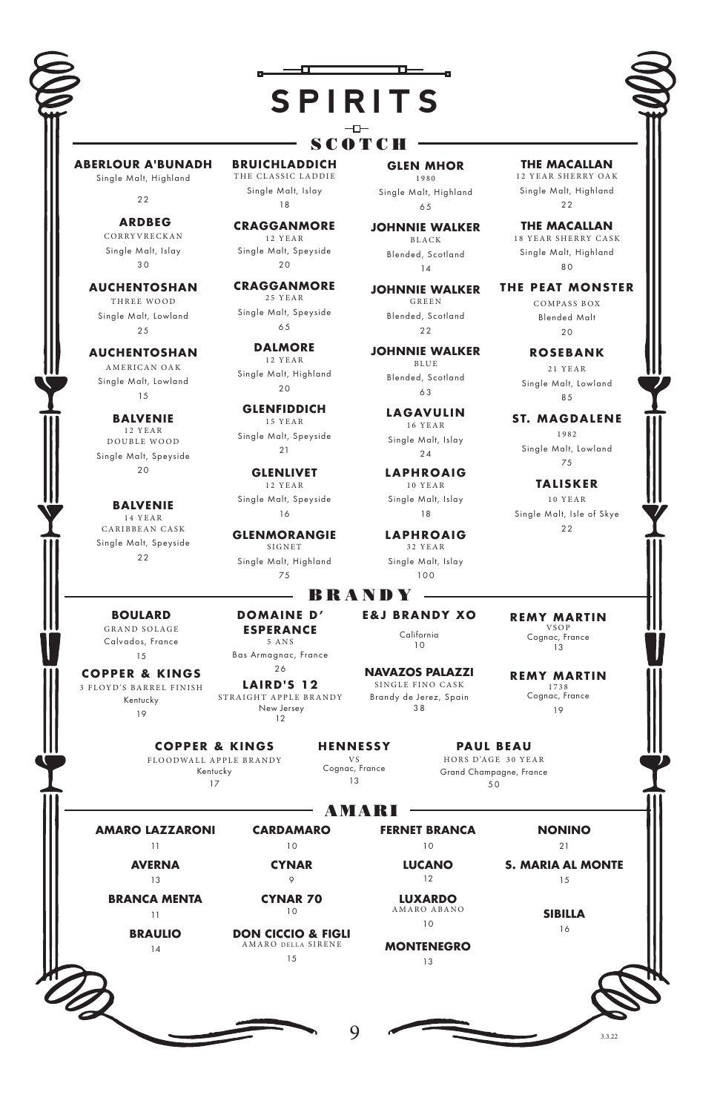# **SPIRITS**

#### SCOTCH ·

**ABERLOUR A'BUNADH**  Single Malt, Highland

 $22$ 

 **ARDBEG**  CORRYVRECKAN Single Malt, Islay 3 0

**AUCHENTOSHAN**  THREE WOOD Single Malt, Lowland  $25$ 

#### **AUCHENTOSHAN**  AMERICAN OAK

Single Malt, Lowland 15

**BALVENIE** 1 2 Y E A R DOUBLE WOOD Single Malt, Speyside  $20$ 

**BALVENIE** 1 4 Y E A R CARIBBEAN CASK Single Malt, Speyside  $22$ 

**BRUICHLADDICH** THE CLASSIC LADDIE Single Malt, Islay 18

 $-$ a $-$ 

**CRAGGANMORE** 12 YEAR Single Malt, Speyside  $20$ 

**CRAGGANMORE** 25 YEAR Single Malt, Speyside

6 5

**DALMORE**  12 YEAR Single Malt, Highland  $20$ 

**GLENFIDDICH** 15 YEAR Single Malt, Speyside  $21$ 

**GLENLIVET** 12 YEAR Single Malt, Speyside 16

**GLENMORANGIE** SIGNET Single Malt, Highland 75

#### 6 5 **JOHNNIE WALKER** B L A C K Blended, Scotland

**GLEN MHOR** 1980 Single Malt, Highland

 $\mathbf{L}$ 

14 **JOHNNIE WALKER** GREEN Blended, Scotland  $22$ 

**JOHNNIE WALKER** BLUE Blended, Scotland 6 3

> **LAGAVULIN** 16 YEAR Single Malt, Islay  $24$

**LAPHROAIG** 10 YEAR Single Malt, Islay 18

**LAPHROAIG** 32 YEAR Single Malt, Islay 100

**THE MACALLAN**  12 YEAR SHERRY OAK Single Malt, Highland 22

**THE MACALLAN** 18 YEAR SHERRY CASK Single Malt, Highland  $80$ 

**THE PEAT MONSTER** COMPASS BOX Blended Malt  $20$ 

> **ROSEBANK** 21 YEAR Single Malt, Lowland 85

**ST. MAGDALENE** 1 9 8 2 Single Malt, Lowland 75

**TALISKER** 10 YEAR Single Malt, Isle of Skye 22

**BOULARD**  GRAND SOLAGE Calvados, France 15

**COPPER & KINGS** 3 FLOYD'S BARREL FINISH Kentucky 19

> **AMARO LAZZARONI** 11 **AVERNA** 13 **BRANCA MENTA** 11 **BRAULIO** 14

**ESPERANCE**  5 ANS Bas Armagnac, France 26 **LAIRD'S 12**

**DOMAINE D'** 

STRAIGHT APPLE BRANDY New Jersey 12

> **CARDAMARO** 10 **CYNAR** 9 **CYNAR 70** 10 **DON CICCIO & FIGLI** AMARO DELLA SIRENE 15

**COPPER & KINGS** FLOODWALL APPLE BRANDY Kentucky 17

**H ENN E S S Y**  V S Cognac, France 13

- BRANDY -

**E&J BRANDY XO** California 10

3 8

**NAVAZOS PALAZZI**  SINGLE FINO CASK Brandy de Jerez, Spain

**REMY MARTIN** 1738 Cognac, France 19

**REMY MARTIN** VSOP Cognac, France 13

**PAUL BEAU** HORS D'AGE 30 YEAR Grand Champagne, France 5 0

 $-$  AMARI  $-$ 

**FERNET BRANCA** 10 **LUCANO** 12 **NONINO**

 $9 \left( \frac{1}{32} \right)$ 

**LUXARDO** AMARO ABANO 10

**MONTENEGRO**  $13$ 

 $21$ **S. MARIA AL MONTE** 15

**SIBILLA**

16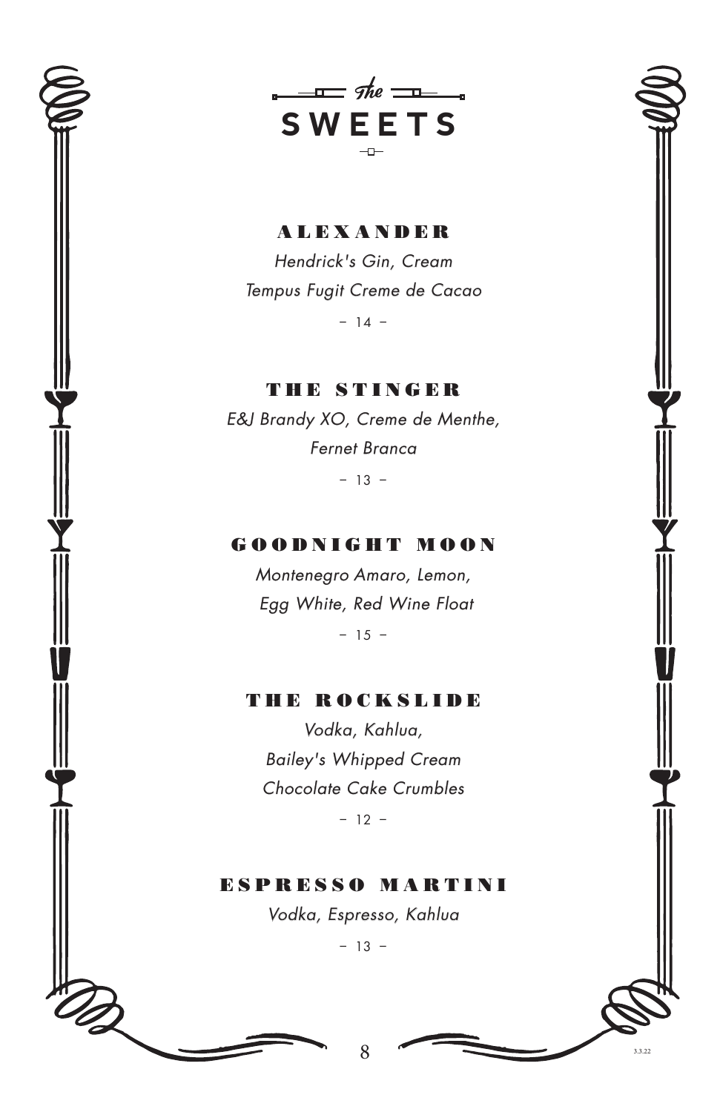

 $\frac{1}{2}$  the  $\frac{1}{2}$ **SWEETS**  $-$ 

ALEXANDER Hendrick's Gin, Cream Tempus Fugit Creme de Cacao

– 14 –

THE STINGER E&J Brandy XO, Creme de Menthe, Fernet Branca

– 13 –

### GOODNIGHT MOON

Montenegro Amaro, Lemon, Egg White, Red Wine Float

– 15 –

## THE ROCKSLIDE

Vodka, Kahlua, Bailey's Whipped Cream Chocolate Cake Crumbles

– 12 –

ESPRESSO MARTINI Vodka, Espresso, Kahlua

– 13 –